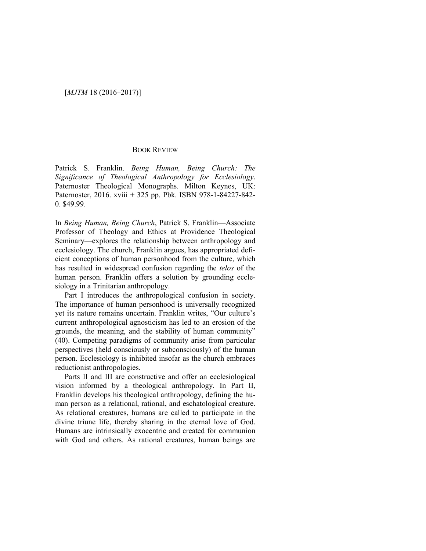## [*MJTM* 18 (2016–2017)]

## BOOK REVIEW

Patrick S. Franklin. *Being Human, Being Church: The Significance of Theological Anthropology for Ecclesiology*. Paternoster Theological Monographs. Milton Keynes, UK: Paternoster, 2016. xviii + 325 pp. Pbk. ISBN 978-1-84227-842- 0. \$49.99.

In *Being Human, Being Church*, Patrick S. Franklin—Associate Professor of Theology and Ethics at Providence Theological Seminary—explores the relationship between anthropology and ecclesiology. The church, Franklin argues, has appropriated deficient conceptions of human personhood from the culture, which has resulted in widespread confusion regarding the *telos* of the human person. Franklin offers a solution by grounding ecclesiology in a Trinitarian anthropology.

Part I introduces the anthropological confusion in society. The importance of human personhood is universally recognized yet its nature remains uncertain. Franklin writes, "Our culture's current anthropological agnosticism has led to an erosion of the grounds, the meaning, and the stability of human community" (40). Competing paradigms of community arise from particular perspectives (held consciously or subconsciously) of the human person. Ecclesiology is inhibited insofar as the church embraces reductionist anthropologies.

Parts II and III are constructive and offer an ecclesiological vision informed by a theological anthropology. In Part II, Franklin develops his theological anthropology, defining the human person as a relational, rational, and eschatological creature. As relational creatures, humans are called to participate in the divine triune life, thereby sharing in the eternal love of God. Humans are intrinsically exocentric and created for communion with God and others. As rational creatures, human beings are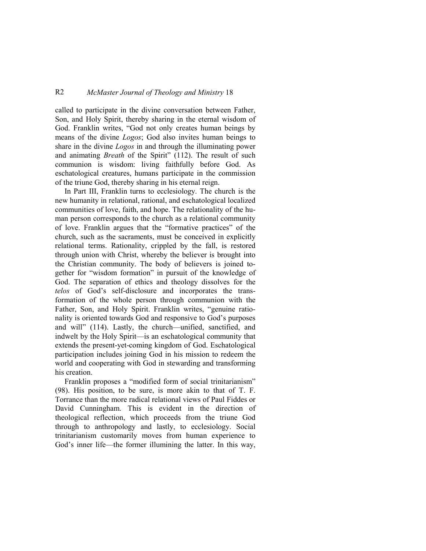## R2 *McMaster Journal of Theology and Ministry* 18

called to participate in the divine conversation between Father, Son, and Holy Spirit, thereby sharing in the eternal wisdom of God. Franklin writes, "God not only creates human beings by means of the divine *Logos*; God also invites human beings to share in the divine *Logos* in and through the illuminating power and animating *Breath* of the Spirit" (112). The result of such communion is wisdom: living faithfully before God. As eschatological creatures, humans participate in the commission of the triune God, thereby sharing in his eternal reign.

In Part III, Franklin turns to ecclesiology. The church is the new humanity in relational, rational, and eschatological localized communities of love, faith, and hope. The relationality of the human person corresponds to the church as a relational community of love. Franklin argues that the "formative practices" of the church, such as the sacraments, must be conceived in explicitly relational terms. Rationality, crippled by the fall, is restored through union with Christ, whereby the believer is brought into the Christian community. The body of believers is joined together for "wisdom formation" in pursuit of the knowledge of God. The separation of ethics and theology dissolves for the *telos* of God's self-disclosure and incorporates the transformation of the whole person through communion with the Father, Son, and Holy Spirit. Franklin writes, "genuine rationality is oriented towards God and responsive to God's purposes and will" (114). Lastly, the church—unified, sanctified, and indwelt by the Holy Spirit—is an eschatological community that extends the present-yet-coming kingdom of God. Eschatological participation includes joining God in his mission to redeem the world and cooperating with God in stewarding and transforming his creation.

Franklin proposes a "modified form of social trinitarianism" (98). His position, to be sure, is more akin to that of T. F. Torrance than the more radical relational views of Paul Fiddes or David Cunningham. This is evident in the direction of theological reflection, which proceeds from the triune God through to anthropology and lastly, to ecclesiology. Social trinitarianism customarily moves from human experience to God's inner life—the former illumining the latter. In this way,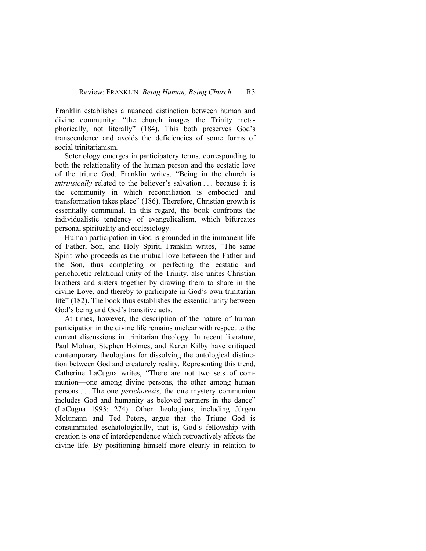Franklin establishes a nuanced distinction between human and divine community: "the church images the Trinity metaphorically, not literally" (184). This both preserves God's transcendence and avoids the deficiencies of some forms of social trinitarianism.

Soteriology emerges in participatory terms, corresponding to both the relationality of the human person and the ecstatic love of the triune God. Franklin writes, "Being in the church is *intrinsically* related to the believer's salvation . . . because it is the community in which reconciliation is embodied and transformation takes place" (186). Therefore, Christian growth is essentially communal. In this regard, the book confronts the individualistic tendency of evangelicalism, which bifurcates personal spirituality and ecclesiology.

Human participation in God is grounded in the immanent life of Father, Son, and Holy Spirit. Franklin writes, "The same Spirit who proceeds as the mutual love between the Father and the Son, thus completing or perfecting the ecstatic and perichoretic relational unity of the Trinity, also unites Christian brothers and sisters together by drawing them to share in the divine Love, and thereby to participate in God's own trinitarian life" (182). The book thus establishes the essential unity between God's being and God's transitive acts.

At times, however, the description of the nature of human participation in the divine life remains unclear with respect to the current discussions in trinitarian theology. In recent literature, Paul Molnar, Stephen Holmes, and Karen Kilby have critiqued contemporary theologians for dissolving the ontological distinction between God and creaturely reality. Representing this trend, Catherine LaCugna writes, "There are not two sets of communion—one among divine persons, the other among human persons . . . The one *perichoresis*, the one mystery communion includes God and humanity as beloved partners in the dance" (LaCugna 1993: 274). Other theologians, including Jürgen Moltmann and Ted Peters, argue that the Triune God is consummated eschatologically, that is, God's fellowship with creation is one of interdependence which retroactively affects the divine life. By positioning himself more clearly in relation to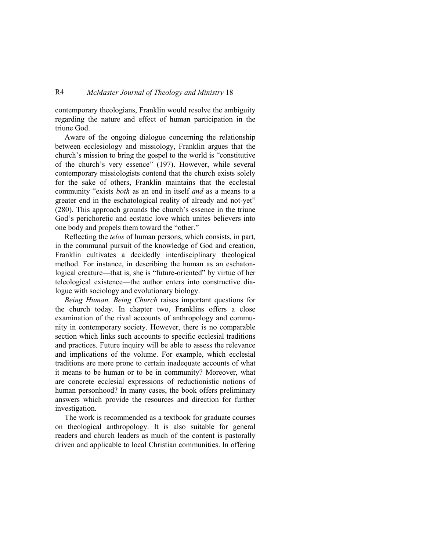## R4 *McMaster Journal of Theology and Ministry* 18

contemporary theologians, Franklin would resolve the ambiguity regarding the nature and effect of human participation in the triune God.

Aware of the ongoing dialogue concerning the relationship between ecclesiology and missiology, Franklin argues that the church's mission to bring the gospel to the world is "constitutive of the church's very essence" (197). However, while several contemporary missiologists contend that the church exists solely for the sake of others, Franklin maintains that the ecclesial community "exists *both* as an end in itself *and* as a means to a greater end in the eschatological reality of already and not-yet" (280). This approach grounds the church's essence in the triune God's perichoretic and ecstatic love which unites believers into one body and propels them toward the "other."

Reflecting the *telos* of human persons, which consists, in part, in the communal pursuit of the knowledge of God and creation, Franklin cultivates a decidedly interdisciplinary theological method. For instance, in describing the human as an eschatonlogical creature—that is, she is "future-oriented" by virtue of her teleological existence—the author enters into constructive dialogue with sociology and evolutionary biology.

*Being Human, Being Church* raises important questions for the church today. In chapter two, Franklins offers a close examination of the rival accounts of anthropology and community in contemporary society. However, there is no comparable section which links such accounts to specific ecclesial traditions and practices. Future inquiry will be able to assess the relevance and implications of the volume. For example, which ecclesial traditions are more prone to certain inadequate accounts of what it means to be human or to be in community? Moreover, what are concrete ecclesial expressions of reductionistic notions of human personhood? In many cases, the book offers preliminary answers which provide the resources and direction for further investigation.

The work is recommended as a textbook for graduate courses on theological anthropology. It is also suitable for general readers and church leaders as much of the content is pastorally driven and applicable to local Christian communities. In offering